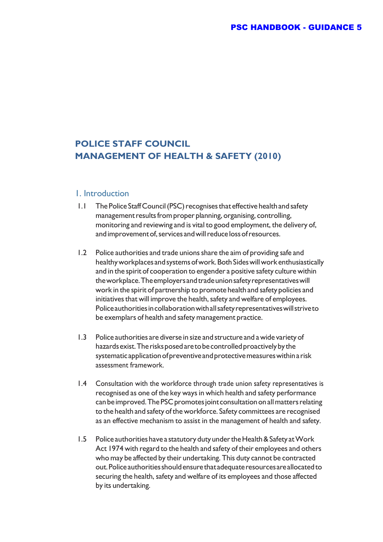## **POLICE STAFF COUNCIL MANAGEMENT OF HEALTH & SAFETY (2010)**

## 1. Introduction

- 1.1 The Police Staff Council (PSC) recognises that effective health and safety management results from proper planning, organising, controlling, monitoring and reviewing and is vital to good employment, the delivery of, andimprovement of, services andwill reduce loss of resources.
- 1.2 Police authorities and trade unions share the aim of providing safe and healthy workplaces and systems of work. Both Sideswill work enthusiastically and in the spirit of cooperation to engender a positive safety culture within the workplace. The employers and trade union safety representatives will work in the spirit of partnership to promote health and safety policies and initiatives that will improve the health, safety and welfare of employees. Police authorities in collaborationwith all safety representatives will strive to be exemplars of health and safety management practice.
- 1.3 Police authorities are diverse in size and structure and a wide variety of hazards exist. The risks posed areto be controlled proactively by the systematic application of preventive and protective measures within a risk assessment framework.
- 1.4 Consultation with the workforce through trade union safety representatives is recognised as one of the key ways in which health and safety performance can be improved. The PSC promotes joint consultation on all matters relating to the health and safety of the workforce. Safety committees are recognised as an effective mechanism to assist in the management of health and safety.
- 1.5 Police authorities have a statutory duty under the Health & Safety at Work Act 1974 with regard to the health and safety of their employees and others who may be affected by their undertaking. This duty cannot be contracted out. Police authorities should ensure that adequate resources are allocatedto securing the health, safety and welfare of its employees and those affected by its undertaking.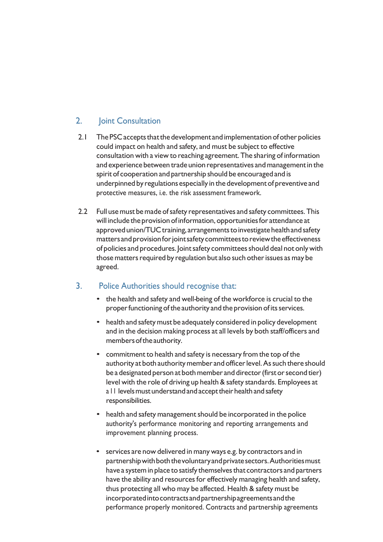## 2. Joint Consultation

- 2.1 The PSC accepts that the development and implementation of other policies could impact on health and safety, and must be subject to effective consultation with a view to reaching agreement. The sharing of information and experience between trade union representatives and management in the spirit of cooperation and partnership should be encouraged and is underpinned by regulations especially in the developmentof preventive and protective measures, i.e. the risk assessment framework.
- 2.2 Full use must be made of safety representatives and safety committees. This will include the provision of information, opportunities for attendance at approved union/TUC training, arrangements to investigate health and safety mattersandprovisionforjointsafetycommitteestoreviewtheeffectiveness of policies and procedures. Joint safety committees should deal not only with those matters required by regulation but also such other issues as may be agreed.

## 3. Police Authorities should recognise that:

- the health and safety and well-being of the workforce is crucial to the proper functioning of the authority and the provision of its services.
- health and safety must be adequately considered in policy development and in the decision making process at all levels by both staff/officers and members of the authority.
- commitment to health and safety is necessary from the top of the authority at both authority member and officer level. As such there should be a designated person at both member and director (first or second tier) level with the role of driving up health & safety standards. Employees at a II levels must understand and accept their health and safety responsibilities.
- health and safety management should be incorporated in the police authority's performance monitoring and reporting arrangements and improvement planning process.
- services are now delivered in many ways e.g. by contractors and in partnership with both the voluntary and private sectors. Authorities must have a system in place to satisfy themselves that contractors and partners have the ability and resources for effectively managing health and safety, thus protecting all who may be affected. Health & safety must be incorporatedintocontractsandpartnershipagreementsandthe performance properly monitored. Contracts and partnership agreements